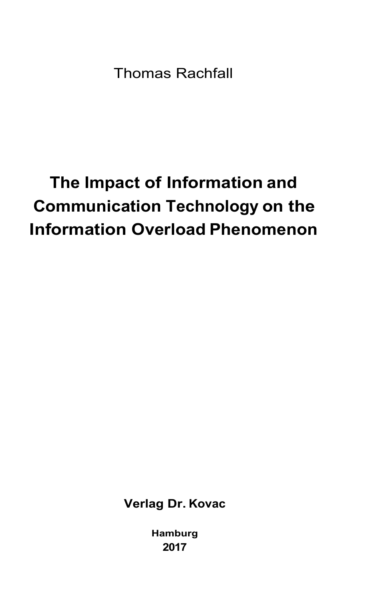Thomas Rachfall

## **The Impact of Information and Communication Technology on the Information Overload Phenomenon**

**Verlag Dr. Kovac** 

**Hamburg 2017**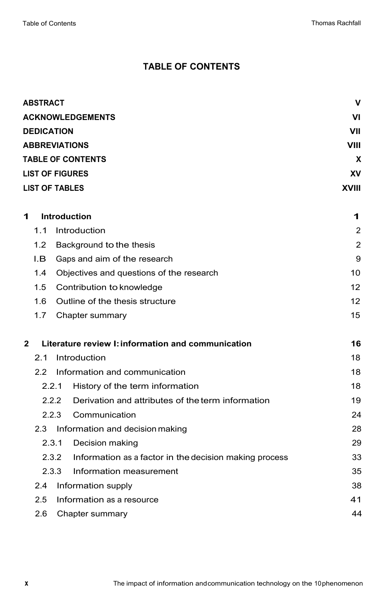## **TABLE OF CONTENTS**

| <b>ACKNOWLEDGEMENTS</b><br><b>DEDICATION</b><br><b>ABBREVIATIONS</b><br>VIII<br><b>TABLE OF CONTENTS</b><br><b>LIST OF FIGURES</b><br><b>LIST OF TABLES</b><br><b>XVIII</b><br><b>Introduction</b><br>1<br>11<br>Introduction<br>$1.2^{\circ}$<br>Background to the thesis<br>I.B<br>Gaps and aim of the research<br>1.4<br>Objectives and questions of the research<br>1.5<br>Contribution to knowledge<br>Outline of the thesis structure<br>16<br>1.7<br>Chapter summary | ٧ı<br>VII<br>x<br>XV<br>1<br>2<br>2<br>9<br>10 |
|-----------------------------------------------------------------------------------------------------------------------------------------------------------------------------------------------------------------------------------------------------------------------------------------------------------------------------------------------------------------------------------------------------------------------------------------------------------------------------|------------------------------------------------|
|                                                                                                                                                                                                                                                                                                                                                                                                                                                                             |                                                |
|                                                                                                                                                                                                                                                                                                                                                                                                                                                                             |                                                |
|                                                                                                                                                                                                                                                                                                                                                                                                                                                                             |                                                |
|                                                                                                                                                                                                                                                                                                                                                                                                                                                                             |                                                |
|                                                                                                                                                                                                                                                                                                                                                                                                                                                                             |                                                |
|                                                                                                                                                                                                                                                                                                                                                                                                                                                                             |                                                |
|                                                                                                                                                                                                                                                                                                                                                                                                                                                                             |                                                |
|                                                                                                                                                                                                                                                                                                                                                                                                                                                                             |                                                |
|                                                                                                                                                                                                                                                                                                                                                                                                                                                                             |                                                |
|                                                                                                                                                                                                                                                                                                                                                                                                                                                                             |                                                |
|                                                                                                                                                                                                                                                                                                                                                                                                                                                                             |                                                |
|                                                                                                                                                                                                                                                                                                                                                                                                                                                                             |                                                |
|                                                                                                                                                                                                                                                                                                                                                                                                                                                                             | 12                                             |
|                                                                                                                                                                                                                                                                                                                                                                                                                                                                             | 12                                             |
|                                                                                                                                                                                                                                                                                                                                                                                                                                                                             | 15                                             |
| $\mathbf{2}$<br>Literature review I: information and communication                                                                                                                                                                                                                                                                                                                                                                                                          | 16                                             |
| 21<br>Introduction                                                                                                                                                                                                                                                                                                                                                                                                                                                          | 18                                             |
| 22<br>Information and communication                                                                                                                                                                                                                                                                                                                                                                                                                                         | 18                                             |
| 2.2.1<br>History of the term information                                                                                                                                                                                                                                                                                                                                                                                                                                    | 18                                             |
| 2.2.2<br>Derivation and attributes of the term information                                                                                                                                                                                                                                                                                                                                                                                                                  | 19                                             |
| 2.2.3<br>Communication                                                                                                                                                                                                                                                                                                                                                                                                                                                      | 24                                             |
| 2.3<br>Information and decision making                                                                                                                                                                                                                                                                                                                                                                                                                                      | 28                                             |
| 2.3.1 Decision making                                                                                                                                                                                                                                                                                                                                                                                                                                                       | 29                                             |
| 2.3.2<br>Information as a factor in the decision making process                                                                                                                                                                                                                                                                                                                                                                                                             | 33                                             |
| 2.3.3<br>Information measurement                                                                                                                                                                                                                                                                                                                                                                                                                                            | 35                                             |
| Information supply<br>2.4                                                                                                                                                                                                                                                                                                                                                                                                                                                   | 38                                             |
| 2.5<br>Information as a resource                                                                                                                                                                                                                                                                                                                                                                                                                                            | 41                                             |
| 2.6<br>Chapter summary                                                                                                                                                                                                                                                                                                                                                                                                                                                      | 44                                             |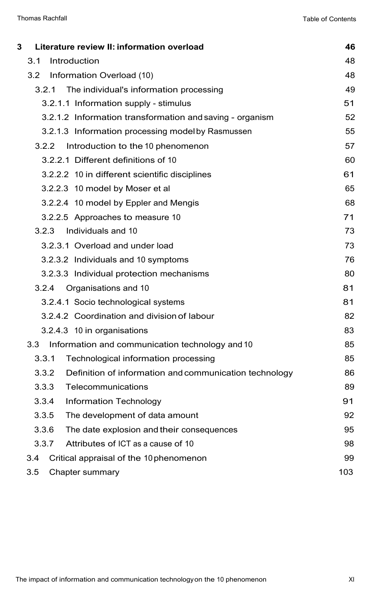| 3 | Literature review II: information overload                      | 46  |
|---|-----------------------------------------------------------------|-----|
|   | 3.1<br>Introduction                                             | 48  |
|   | 3.2<br>Information Overload (10)                                | 48  |
|   | 3.2.1<br>The individual's information processing                | 49  |
|   | 3.2.1.1 Information supply - stimulus                           | 51  |
|   | 3.2.1.2 Information transformation and saving - organism        | 52  |
|   | 3.2.1.3 Information processing model by Rasmussen               | 55  |
|   | Introduction to the 10 phenomenon<br>3.2.2                      | 57  |
|   | 3.2.2.1 Different definitions of 10                             | 60  |
|   | 3.2.2.2 10 in different scientific disciplines                  | 61  |
|   | 3.2.2.3 10 model by Moser et al                                 | 65  |
|   | 3.2.2.4 10 model by Eppler and Mengis                           | 68  |
|   | 3.2.2.5 Approaches to measure 10                                | 71  |
|   | Individuals and 10<br>3.2.3                                     | 73  |
|   | 3.2.3.1 Overload and under load                                 | 73  |
|   | 3.2.3.2 Individuals and 10 symptoms                             | 76  |
|   | 3.2.3.3 Individual protection mechanisms                        | 80  |
|   | 3.2.4 Organisations and 10                                      | 81  |
|   | 3.2.4.1 Socio technological systems                             | 81  |
|   | 3.2.4.2 Coordination and division of labour                     | 82  |
|   | 3.2.4.3 10 in organisations                                     | 83  |
|   | 3.3<br>Information and communication technology and 10          | 85  |
|   | 3.3.1<br>Technological information processing                   | 85  |
|   | 3.3.2<br>Definition of information and communication technology | 86  |
|   | 3.3.3<br>Telecommunications                                     | 89  |
|   | 3.3.4<br>Information Technology                                 | 91  |
|   | 3.3.5<br>The development of data amount                         | 92  |
|   | 3.3.6<br>The date explosion and their consequences              | 95  |
|   | 3.3.7<br>Attributes of ICT as a cause of 10                     | 98  |
|   | Critical appraisal of the 10 phenomenon<br>3.4                  | 99  |
|   | 3.5<br>Chapter summary                                          | 103 |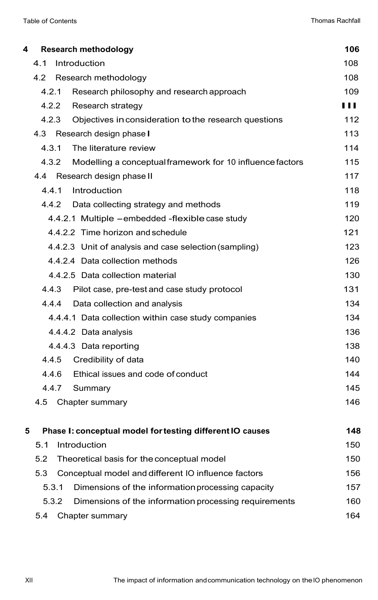| 4                                                   |       | Research methodology                                      | 106 |
|-----------------------------------------------------|-------|-----------------------------------------------------------|-----|
|                                                     | 4.1   | Introduction                                              | 108 |
|                                                     | 4.2   | Research methodology                                      | 108 |
|                                                     | 4.2.1 | Research philosophy and research approach                 | 109 |
|                                                     | 4.2.2 | Research strategy                                         | 111 |
|                                                     | 4.2.3 | Objectives in consideration to the research questions     | 112 |
|                                                     | 4.3   | Research design phase I                                   | 113 |
|                                                     | 4.3.1 | The literature review                                     | 114 |
|                                                     | 4.3.2 | Modelling a conceptual framework for 10 influence factors | 115 |
|                                                     | 4.4   | Research design phase II                                  | 117 |
|                                                     | 4.4.1 | Introduction                                              | 118 |
|                                                     | 4.4.2 | Data collecting strategy and methods                      | 119 |
|                                                     |       | 4.4.2.1 Multiple -embedded -flexible case study           | 120 |
|                                                     |       | 4.4.2.2 Time horizon and schedule                         | 121 |
|                                                     |       | 4.4.2.3 Unit of analysis and case selection (sampling)    | 123 |
|                                                     |       | 4.4.2.4 Data collection methods                           | 126 |
| 4.4.2.5 Data collection material                    |       |                                                           |     |
|                                                     | 4.4.3 | Pilot case, pre-test and case study protocol              | 131 |
|                                                     | 4.4.4 | Data collection and analysis                              | 134 |
| 4.4.4.1 Data collection within case study companies |       |                                                           | 134 |
| 4.4.4.2 Data analysis                               |       |                                                           |     |
| 4.4.4.3 Data reporting                              |       |                                                           |     |
| Credibility of data<br>4.4.5                        |       |                                                           |     |
| Ethical issues and code of conduct<br>4.4.6         |       |                                                           |     |
|                                                     | 4.4.7 | Summary                                                   | 145 |
|                                                     | 4.5   | Chapter summary                                           | 146 |
|                                                     |       |                                                           |     |
| 5                                                   |       | Phase I: conceptual model for testing different IO causes | 148 |
|                                                     | 5.1   | Introduction                                              | 150 |
|                                                     | 5.2   | Theoretical basis for the conceptual model                | 150 |
|                                                     | 5.3   | Conceptual model and different IO influence factors       | 156 |
|                                                     | 5.3.1 | Dimensions of the information processing capacity         | 157 |
|                                                     | 5.3.2 | Dimensions of the information processing requirements     | 160 |
|                                                     | 5.4   | Chapter summary                                           | 164 |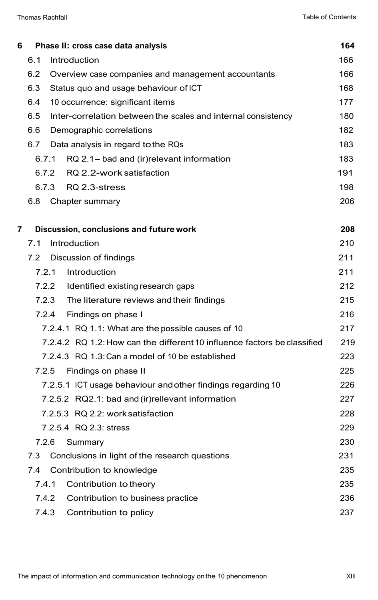| 6 |       |       | Phase II: cross case data analysis                                       | 164 |
|---|-------|-------|--------------------------------------------------------------------------|-----|
|   | 6.1   |       | Introduction                                                             | 166 |
|   | 6.2   |       | Overview case companies and management accountants                       | 166 |
|   | 6.3   |       | Status quo and usage behaviour of ICT                                    | 168 |
|   | 6.4   |       | 10 occurrence: significant items                                         | 177 |
|   | 6.5   |       | Inter-correlation between the scales and internal consistency            | 180 |
|   | 6.6   |       | Demographic correlations                                                 | 182 |
|   | 6.7   |       | Data analysis in regard to the RQs                                       | 183 |
|   | 6.7.1 |       | RQ 2.1- bad and (ir)relevant information                                 | 183 |
|   | 6.7.2 |       | RQ 2.2-work satisfaction                                                 | 191 |
|   |       | 6.7.3 | RQ 2.3-stress                                                            | 198 |
|   | 6.8   |       | Chapter summary                                                          | 206 |
|   |       |       |                                                                          |     |
| 7 |       |       | Discussion, conclusions and future work                                  | 208 |
|   | 7.1   |       | Introduction                                                             | 210 |
|   | 7.2   |       | Discussion of findings                                                   | 211 |
|   | 7.2.1 |       | Introduction                                                             | 211 |
|   |       | 7.2.2 | Identified existing research gaps                                        | 212 |
|   |       | 7.2.3 | The literature reviews and their findings                                | 215 |
|   |       |       | 7.2.4 Findings on phase I                                                | 216 |
|   |       |       | 7.2.4.1 RQ 1.1: What are the possible causes of 10                       | 217 |
|   |       |       | 7.2.4.2 RQ 1.2: How can the different 10 influence factors be classified | 219 |
|   |       |       | 7.2.4.3 RQ 1.3: Can a model of 10 be established                         | 223 |
|   | 7.2.5 |       | Findings on phase II                                                     | 225 |
|   |       |       | 7.2.5.1 ICT usage behaviour and other findings regarding 10              | 226 |
|   |       |       | 7.2.5.2 RQ2.1: bad and (ir) rellevant information                        | 227 |
|   |       |       | 7.2.5.3 RQ 2.2: work satisfaction                                        | 228 |
|   |       |       | 7.2.5.4 RQ 2.3: stress                                                   | 229 |
|   | 7.2.6 |       | Summary                                                                  | 230 |
|   | 7.3   |       | Conclusions in light of the research questions                           | 231 |
|   | 7.4   |       | Contribution to knowledge                                                | 235 |
|   | 7.4.1 |       | Contribution to theory                                                   | 235 |
|   | 7.4.2 |       | Contribution to business practice                                        | 236 |
|   | 7.4.3 |       | Contribution to policy                                                   | 237 |